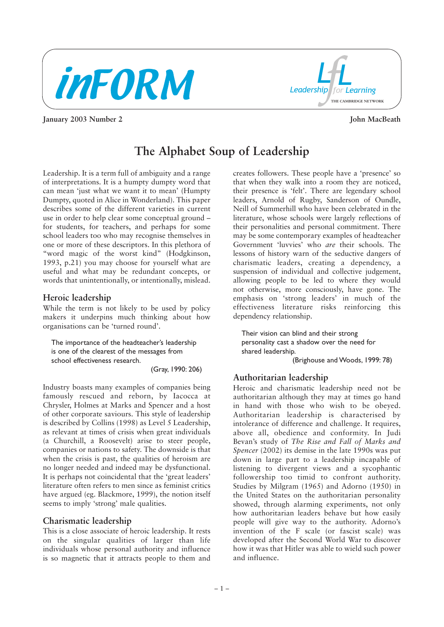



**January 2003 Number 2 John MacBeath** 

# **The Alphabet Soup of Leadership**

Leadership. It is a term full of ambiguity and a range of interpretations. It is a humpty dumpty word that can mean 'just what we want it to mean' (Humpty Dumpty, quoted in Alice in Wonderland). This paper describes some of the different varieties in current use in order to help clear some conceptual ground – for students, for teachers, and perhaps for some school leaders too who may recognise themselves in one or more of these descriptors. In this plethora of "word magic of the worst kind" (Hodgkinson, 1993, p.21) you may choose for yourself what are useful and what may be redundant concepts, or words that unintentionally, or intentionally, mislead.

#### **Heroic leadership**

While the term is not likely to be used by policy makers it underpins much thinking about how organisations can be 'turned round'.

The importance of the headteacher's leadership is one of the clearest of the messages from school effectiveness research.

(Gray, 1990: 206)

Industry boasts many examples of companies being famously rescued and reborn, by Iacocca at Chrysler, Holmes at Marks and Spencer and a host of other corporate saviours. This style of leadership is described by Collins (1998) as Level 5 Leadership, as relevant at times of crisis when great individuals (a Churchill, a Roosevelt) arise to steer people, companies or nations to safety. The downside is that when the crisis is past, the qualities of heroism are no longer needed and indeed may be dysfunctional. It is perhaps not coincidental that the 'great leaders' literature often refers to men since as feminist critics have argued (eg. Blackmore, 1999), the notion itself seems to imply 'strong' male qualities.

#### **Charismatic leadership**

This is a close associate of heroic leadership. It rests on the singular qualities of larger than life individuals whose personal authority and influence is so magnetic that it attracts people to them and

creates followers. These people have a 'presence' so that when they walk into a room they are noticed, their presence is 'felt'. There are legendary school leaders, Arnold of Rugby, Sanderson of Oundle, Neill of Summerhill who have been celebrated in the literature, whose schools were largely reflections of their personalities and personal commitment. There may be some contemporary examples of headteacher Government 'luvvies' who *are* their schools. The lessons of history warn of the seductive dangers of charismatic leaders, creating a dependency, a suspension of individual and collective judgement, allowing people to be led to where they would not otherwise, more consciously, have gone. The emphasis on 'strong leaders' in much of the effectiveness literature risks reinforcing this dependency relationship.

Their vision can blind and their strong personality cast a shadow over the need for shared leadership. (Brighouse and Woods, 1999: 78)

#### **Authoritarian leadership**

Heroic and charismatic leadership need not be authoritarian although they may at times go hand in hand with those who wish to be obeyed. Authoritarian leadership is characterised by intolerance of difference and challenge. It requires, above all, obedience and conformity. In Judi Bevan's study of *The Rise and Fall of Marks and Spencer* (2002) its demise in the late 1990s was put down in large part to a leadership incapable of listening to divergent views and a sycophantic followership too timid to confront authority. Studies by Milgram (1965) and Adorno (1950) in the United States on the authoritarian personality showed, through alarming experiments, not only how authoritarian leaders behave but how easily people will give way to the authority. Adorno's invention of the F scale (or fascist scale) was developed after the Second World War to discover how it was that Hitler was able to wield such power and influence.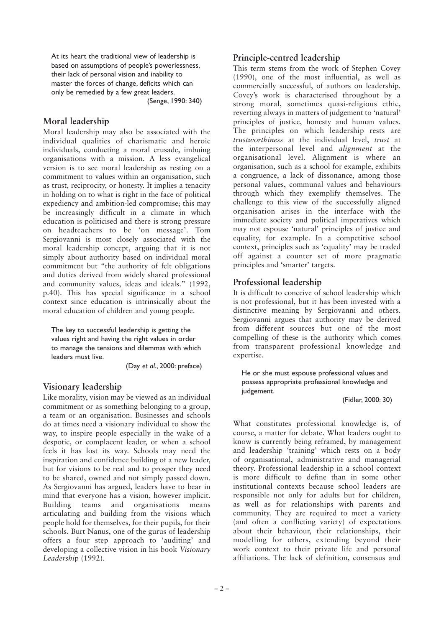At its heart the traditional view of leadership is based on assumptions of people's powerlessness, their lack of personal vision and inability to master the forces of change, deficits which can only be remedied by a few great leaders.

(Senge, 1990: 340)

#### **Moral leadership**

Moral leadership may also be associated with the individual qualities of charismatic and heroic individuals, conducting a moral crusade, imbuing organisations with a mission. A less evangelical version is to see moral leadership as resting on a commitment to values within an organisation, such as trust, reciprocity, or honesty. It implies a tenacity in holding on to what is right in the face of political expediency and ambition-led compromise; this may be increasingly difficult in a climate in which education is politicised and there is strong pressure on headteachers to be 'on message'. Tom Sergiovanni is most closely associated with the moral leadership concept, arguing that it is not simply about authority based on individual moral commitment but "the authority of felt obligations and duties derived from widely shared professional and community values, ideas and ideals." (1992, p.40). This has special significance in a school context since education is intrinsically about the moral education of children and young people.

The key to successful leadership is getting the values right and having the right values in order to manage the tensions and dilemmas with which leaders must live.

(Day *et al*., 2000: preface)

# **Visionary leadership**

Like morality, vision may be viewed as an individual commitment or as something belonging to a group, a team or an organisation. Businesses and schools do at times need a visionary individual to show the way, to inspire people especially in the wake of a despotic, or complacent leader, or when a school feels it has lost its way. Schools may need the inspiration and confidence building of a new leader, but for visions to be real and to prosper they need to be shared, owned and not simply passed down. As Sergiovanni has argued, leaders have to bear in mind that everyone has a vision, however implicit. Building teams and organisations means articulating and building from the visions which people hold for themselves, for their pupils, for their schools. Burt Nanus, one of the gurus of leadership offers a four step approach to 'auditing' and developing a collective vision in his book *Visionary Leadershi*p (1992).

#### **Principle-centred leadership**

This term stems from the work of Stephen Covey (1990), one of the most influential, as well as commercially successful, of authors on leadership. Covey's work is characterised throughout by a strong moral, sometimes quasi-religious ethic, reverting always in matters of judgement to 'natural' principles of justice, honesty and human values. The principles on which leadership rests are *trustworthiness* at the individual level, *trust* at the interpersonal level and *alignment* at the organisational level. Alignment is where an organisation, such as a school for example, exhibits a congruence, a lack of dissonance, among those personal values, communal values and behaviours through which they exemplify themselves. The challenge to this view of the successfully aligned organisation arises in the interface with the immediate society and political imperatives which may not espouse 'natural' principles of justice and equality, for example. In a competitive school context, principles such as 'equality' may be traded off against a counter set of more pragmatic principles and 'smarter' targets.

# **Professional leadership**

It is difficult to conceive of school leadership which is not professional, but it has been invested with a distinctive meaning by Sergiovanni and others. Sergiovanni argues that authority may be derived from different sources but one of the most compelling of these is the authority which comes from transparent professional knowledge and expertise.

He or she must espouse professional values and possess appropriate professional knowledge and judgement.

(Fidler, 2000: 30)

What constitutes professional knowledge is, of course, a matter for debate. What leaders ought to know is currently being reframed, by management and leadership 'training' which rests on a body of organisational, administrative and managerial theory. Professional leadership in a school context is more difficult to define than in some other institutional contexts because school leaders are responsible not only for adults but for children, as well as for relationships with parents and community. They are required to meet a variety (and often a conflicting variety) of expectations about their behaviour, their relationships, their modelling for others, extending beyond their work context to their private life and personal affiliations. The lack of definition, consensus and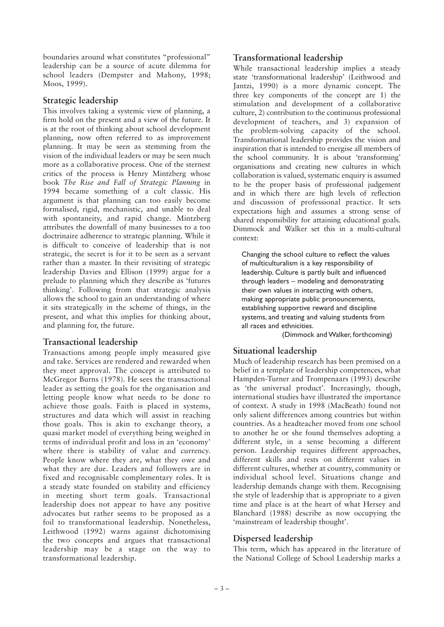boundaries around what constitutes "professional" leadership can be a source of acute dilemma for school leaders (Dempster and Mahony, 1998; Moos, 1999).

#### **Strategic leadership**

This involves taking a systemic view of planning, a firm hold on the present and a view of the future. It is at the root of thinking about school development planning, now often referred to as improvement planning. It may be seen as stemming from the vision of the individual leaders or may be seen much more as a collaborative process. One of the sternest critics of the process is Henry Mintzberg whose book *The Rise and Fall of Strategic Planning* in 1994 became something of a cult classic. His argument is that planning can too easily become formalised, rigid, mechanistic, and unable to deal with spontaneity, and rapid change. Mintzberg attributes the downfall of many businesses to a too doctrinaire adherence to strategic planning. While it is difficult to conceive of leadership that is not strategic, the secret is for it to be seen as a servant rather than a master. In their revisiting of strategic leadership Davies and Ellison (1999) argue for a prelude to planning which they describe as 'futures thinking'. Following from that strategic analysis allows the school to gain an understanding of where it sits strategically in the scheme of things, in the present, and what this implies for thinking about, and planning for, the future.

# **Transactional leadership**

Transactions among people imply measured give and take. Services are rendered and rewarded when they meet approval. The concept is attributed to McGregor Burns (1978). He sees the transactional leader as setting the goals for the organisation and letting people know what needs to be done to achieve those goals. Faith is placed in systems, structures and data which will assist in reaching those goals. This is akin to exchange theory, a quasi market model of everything being weighed in terms of individual profit and loss in an 'economy' where there is stability of value and currency. People know where they are, what they owe and what they are due. Leaders and followers are in fixed and recognisable complementary roles. It is a steady state founded on stability and efficiency in meeting short term goals. Transactional leadership does not appear to have any positive advocates but rather seems to be proposed as a foil to transformational leadership. Nonetheless, Leithwood (1992) warns against dichotomising the two concepts and argues that transactional leadership may be a stage on the way to transformational leadership.

#### **Transformational leadership**

While transactional leadership implies a steady state 'transformational leadership' (Leithwood and Jantzi, 1990) is a more dynamic concept. The three key components of the concept are 1) the stimulation and development of a collaborative culture, 2) contribution to the continuous professional development of teachers, and 3) expansion of the problem-solving capacity of the school. Transformational leadership provides the vision and inspiration that is intended to energise all members of the school community. It is about 'transforming' organisations and creating new cultures in which collaboration is valued, systematic enquiry is assumed to be the proper basis of professional judgement and in which there are high levels of reflection and discussion of professional practice. It sets expectations high and assumes a strong sense of shared responsibility for attaining educational goals. Dimmock and Walker set this in a multi-cultural context:

Changing the school culture to reflect the values of multiculturalism is a key responsibility of leadership. Culture is partly built and influenced through leaders – modeling and demonstrating their own values in interacting with others, making appropriate public pronouncements, establishing supportive reward and discipline systems, and treating and valuing students from all races and ethnicities.

(Dimmock and Walker, forthcoming)

# **Situational leadership**

Much of leadership research has been premised on a belief in a template of leadership competences, what Hampden-Turner and Trompenaars (1993) describe as 'the universal product'. Increasingly, though, international studies have illustrated the importance of context. A study in 1998 (MacBeath) found not only salient differences among countries but within countries. As a headteacher moved from one school to another he or she found themselves adopting a different style, in a sense becoming a different person. Leadership requires different approaches, different skills and rests on different values in different cultures, whether at country, community or individual school level. Situations change and leadership demands change with them. Recognising the style of leadership that is appropriate to a given time and place is at the heart of what Hersey and Blanchard (1988) describe as now occupying the 'mainstream of leadership thought'.

# **Dispersed leadership**

This term, which has appeared in the literature of the National College of School Leadership marks a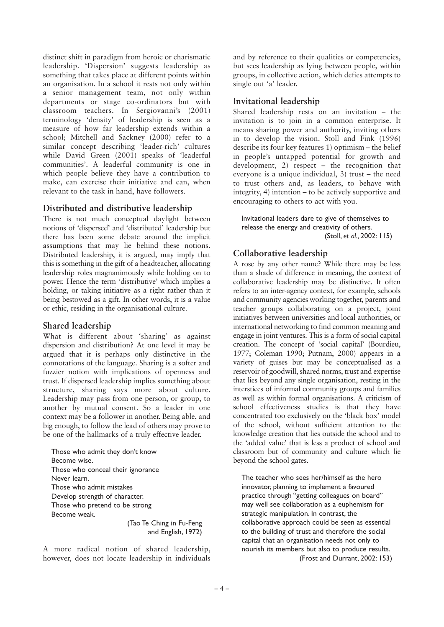distinct shift in paradigm from heroic or charismatic leadership. 'Dispersion' suggests leadership as something that takes place at different points within an organisation. In a school it rests not only within a senior management team, not only within departments or stage co-ordinators but with classroom teachers. In Sergiovanni's (2001) terminology 'density' of leadership is seen as a measure of how far leadership extends within a school; Mitchell and Sackney (2000) refer to a similar concept describing 'leader-rich' cultures while David Green (2001) speaks of 'leaderful communities'. A leaderful community is one in which people believe they have a contribution to make, can exercise their initiative and can, when relevant to the task in hand, have followers.

#### **Distributed and distributive leadership**

There is not much conceptual daylight between notions of 'dispersed' and 'distributed' leadership but there has been some debate around the implicit assumptions that may lie behind these notions. Distributed leadership, it is argued, may imply that this is something in the gift of a headteacher, allocating leadership roles magnanimously while holding on to power. Hence the term 'distributive' which implies a holding, or taking initiative as a right rather than it being bestowed as a gift. In other words, it is a value or ethic, residing in the organisational culture.

#### **Shared leadership**

What is different about 'sharing' as against dispersion and distribution? At one level it may be argued that it is perhaps only distinctive in the connotations of the language. Sharing is a softer and fuzzier notion with implications of openness and trust. If dispersed leadership implies something about structure, sharing says more about culture. Leadership may pass from one person, or group, to another by mutual consent. So a leader in one context may be a follower in another. Being able, and big enough, to follow the lead of others may prove to be one of the hallmarks of a truly effective leader.

Those who admit they don't know Become wise. Those who conceal their ignorance Never learn. Those who admit mistakes Develop strength of character. Those who pretend to be strong Become weak. (Tao Te Ching in Fu-Feng

and English, 1972)

A more radical notion of shared leadership, however, does not locate leadership in individuals

and by reference to their qualities or competencies, but sees leadership as lying between people, within groups, in collective action, which defies attempts to single out 'a' leader.

#### **Invitational leadership**

Shared leadership rests on an invitation – the invitation is to join in a common enterprise. It means sharing power and authority, inviting others in to develop the vision. Stoll and Fink (1996) describe its four key features 1) optimism – the belief in people's untapped potential for growth and development, 2) respect – the recognition that everyone is a unique individual, 3) trust – the need to trust others and, as leaders, to behave with integrity, 4) intention – to be actively supportive and encouraging to others to act with you.

Invitational leaders dare to give of themselves to release the energy and creativity of others. (Stoll, *et al.*, 2002: 115)

# **Collaborative leadership**

A rose by any other name? While there may be less than a shade of difference in meaning, the context of collaborative leadership may be distinctive. It often refers to an inter-agency context, for example, schools and community agencies working together, parents and teacher groups collaborating on a project, joint initiatives between universities and local authorities, or international networking to find common meaning and engage in joint ventures. This is a form of social capital creation. The concept of 'social capital' (Bourdieu, 1977; Coleman 1990; Putnam, 2000) appears in a variety of guises but may be conceptualised as a reservoir of goodwill, shared norms, trust and expertise that lies beyond any single organisation, resting in the interstices of informal community groups and families as well as within formal organisations. A criticism of school effectiveness studies is that they have concentrated too exclusively on the 'black box' model of the school, without sufficient attention to the knowledge creation that lies outside the school and to the 'added value' that is less a product of school and classroom but of community and culture which lie beyond the school gates.

The teacher who sees her/himself as the hero innovator, planning to implement a favoured practice through "getting colleagues on board" may well see collaboration as a euphemism for strategic manipulation. In contrast, the collaborative approach could be seen as essential to the building of trust and therefore the social capital that an organisation needs not only to nourish its members but also to produce results. (Frost and Durrant, 2002: 153)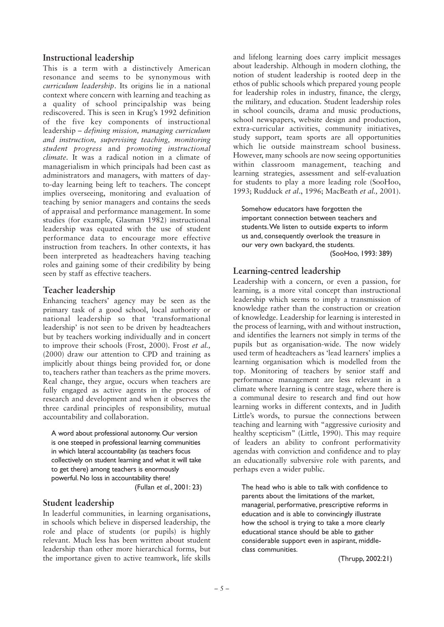#### **Instructional leadership**

This is a term with a distinctively American resonance and seems to be synonymous with *curriculum leadership*. Its origins lie in a national context where concern with learning and teaching as a quality of school principalship was being rediscovered. This is seen in Krug's 1992 definition of the five key components of instructional leadership – *defining mission, managing curriculum and instruction, supervising teaching, monitoring student progress* and *promoting instructional climate*. It was a radical notion in a climate of managerialism in which principals had been cast as administrators and managers, with matters of dayto-day learning being left to teachers. The concept implies overseeing, monitoring and evaluation of teaching by senior managers and contains the seeds of appraisal and performance management. In some studies (for example, Glasman 1982) instructional leadership was equated with the use of student performance data to encourage more effective instruction from teachers. In other contexts, it has been interpreted as headteachers having teaching roles and gaining some of their credibility by being seen by staff as effective teachers.

#### **Teacher leadership**

Enhancing teachers' agency may be seen as the primary task of a good school, local authority or national leadership so that 'transformational leadership' is not seen to be driven by headteachers but by teachers working individually and in concert to improve their schools (Frost, 2000). Frost *et al.,* (2000) draw our attention to CPD and training as implicitly about things being provided for, or done to, teachers rather than teachers as the prime movers. Real change, they argue, occurs when teachers are fully engaged as active agents in the process of research and development and when it observes the three cardinal principles of responsibility, mutual accountability and collaboration.

A word about professional autonomy. Our version is one steeped in professional learning communities in which lateral accountability (as teachers focus collectively on student learning and what it will take to get there) among teachers is enormously powerful. No loss in accountability there! (Fullan *et al*., 2001: 23)

# **Student leadership**

In leaderful communities, in learning organisations, in schools which believe in dispersed leadership, the role and place of students (or pupils) is highly relevant. Much less has been written about student leadership than other more hierarchical forms, but the importance given to active teamwork, life skills and lifelong learning does carry implicit messages about leadership. Although in modern clothing, the notion of student leadership is rooted deep in the ethos of public schools which prepared young people for leadership roles in industry, finance, the clergy, the military, and education. Student leadership roles in school councils, drama and music productions, school newspapers, website design and production, extra-curricular activities, community initiatives, study support, team sports are all opportunities which lie outside mainstream school business. However, many schools are now seeing opportunities within classroom management, teaching and learning strategies, assessment and self-evaluation for students to play a more leading role (SooHoo, 1993; Rudduck *et al*., 1996; MacBeath *et al.,* 2001).

Somehow educators have forgotten the important connection between teachers and students.We listen to outside experts to inform us and, consequently overlook the treasure in our very own backyard, the students. (SooHoo, 1993: 389)

# **Learning-centred leadership**

Leadership with a concern, or even a passion, for learning, is a more vital concept than instructional leadership which seems to imply a transmission of knowledge rather than the construction or creation of knowledge. Leadership for learning is interested in the process of learning, with and without instruction, and identifies the learners not simply in terms of the pupils but as organisation-wide. The now widely used term of headteachers as 'lead learners' implies a learning organisation which is modelled from the top. Monitoring of teachers by senior staff and performance management are less relevant in a climate where learning is centre stage, where there is a communal desire to research and find out how learning works in different contexts, and in Judith Little's words, to pursue the connections between teaching and learning with "aggressive curiosity and healthy scepticism" (Little, 1990). This may require of leaders an ability to confront performativity agendas with conviction and confidence and to play an educationally subversive role with parents, and perhaps even a wider public.

The head who is able to talk with confidence to parents about the limitations of the market, managerial, performative, prescriptive reforms in education and is able to convincingly illustrate how the school is trying to take a more clearly educational stance should be able to gather considerable support even in aspirant, middleclass communities.

(Thrupp, 2002:21)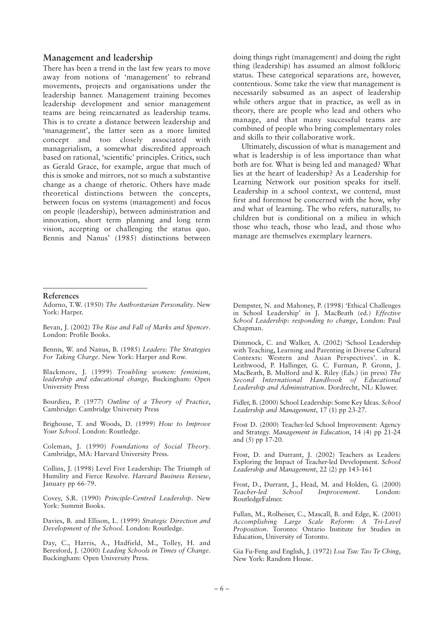#### **Management and leadership**

There has been a trend in the last few years to move away from notions of 'management' to rebrand movements, projects and organisations under the leadership banner. Management training becomes leadership development and senior management teams are being reincarnated as leadership teams. This is to create a distance between leadership and 'management', the latter seen as a more limited concept and too closely associated with managerialism, a somewhat discredited approach based on rational, 'scientific' principles. Critics, such as Gerald Grace, for example, argue that much of this is smoke and mirrors, not so much a substantive change as a change of rhetoric. Others have made theoretical distinctions between the concepts, between focus on systems (management) and focus on people (leadership), between administration and innovation, short term planning and long term vision, accepting or challenging the status quo. Bennis and Nanus' (1985) distinctions between

doing things right (management) and doing the right thing (leadership) has assumed an almost folkloric status. These categorical separations are, however, contentious. Some take the view that management is necessarily subsumed as an aspect of leadership while others argue that in practice, as well as in theory, there are people who lead and others who manage, and that many successful teams are combined of people who bring complementary roles and skills to their collaborative work.

Ultimately, discussion of what is management and what is leadership is of less importance than what both are for. What is being led and managed? What lies at the heart of leadership? As a Leadership for Learning Network our position speaks for itself. Leadership in a school context, we contend, must first and foremost be concerned with the how, why and what of learning. The who refers, naturally, to children but is conditional on a milieu in which those who teach, those who lead, and those who manage are themselves exemplary learners.

#### **References**

Adorno, T.W. (1950) *The Authoritarian Personality*. New York: Harper.

Bevan, J. (2002) *The Rise and Fall of Marks and Spencer*. London: Profile Books.

Bennis, W. and Nanus, B. (1985) *Leaders: The Strategies For Taking Charge*. New York: Harper and Row.

Blackmore, J. (1999) *Troubling women: feminism, leadership and educational change,* Buckingham: Open University Press

Bourdieu, P. (1977) *Outline of a Theory of Practice*, Cambridge: Cambridge University Press

Brighouse, T. and Woods, D. (1999) *How to Improve Your School*. London: Routledge.

Coleman, J. (1990) *Foundations of Social Theory*. Cambridge, MA: Harvard University Press.

Collins, J. (1998) Level Five Leadership: The Triumph of Humility and Fierce Resolve. *Harvard Business Review*, January pp 66-79.

Covey, S.R. (1990) *Principle-Centred Leadership*. New York: Summit Books.

Davies, B. and Ellison, L. (1999) *Strategic Direction and Development of the School*. London: Routledge.

Day, C., Harris, A., Hadfield, M., Tolley, H. and Beresford, J. (2000) *Leading Schools in Times of Change*. Buckingham: Open University Press.

Dempster, N. and Mahoney, P. (1998) 'Ethical Challenges in School Leadership' in J. MacBeath (ed.) *Effective School Leadership: responding to change*, London: Paul Chapman.

Dimmock, C. and Walker, A. (2002) 'School Leadership with Teaching, Learning and Parenting in Diverse Cultural Contexts: Western and Asian Perspectives'. in K. Leithwood, P. Hallinger, G. C. Furman, P. Gronn, J. MacBeath, B. Mulford and K. Riley (Eds.) (in press) *The Second International Handbook of Educational Leadership and Administration*. Dordrecht, NL: Kluwer.

Fidler, B. (2000) School Leadership: Some Key Ideas. *School Leadership and Management*, 17 (1) pp 23-27.

Frost D. (2000) Teacher-led School Improvement: Agency and Strategy. *Management in Education*, 14 (4) pp 21-24 and (5) pp 17-20.

Frost, D. and Durrant, J. (2002) Teachers as Leaders: Exploring the Impact of Teacher-led Development. *School Leadership and Management*, 22 (2) pp 143-161

Frost, D., Durrant, J., Head, M. and Holden, G. (2000)<br>Teacher-led School Improvement. London: *Improvement*. London: RoutledgeFalmer.

Fullan, M., Rolheiser, C., Mascall, B. and Edge, K. (2001) *Accomplishing Large Scale Reform: A Tri-Level Proposition*. Toronto: Ontario Institute for Studies in Education, University of Toronto.

Gia Fu-Feng and English, J. (1972) *Loa Tsu: Tao Te Ching*, New York: Random House.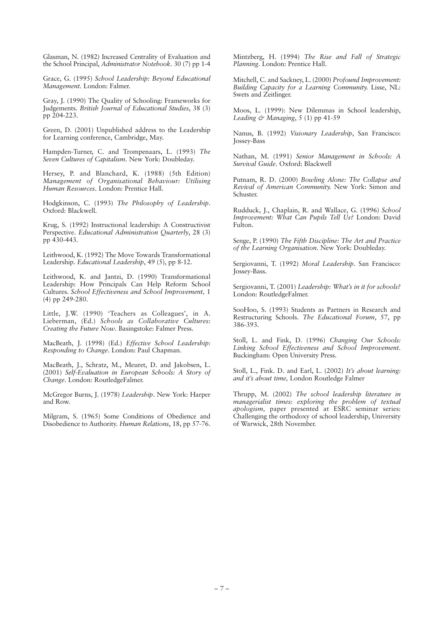Glasman, N. (1982) Increased Centrality of Evaluation and the School Principal, *Administrator Notebook*. 30 (7) pp 1-4

Grace, G. (1995) *School Leadership: Beyond Educational Management*. London: Falmer.

Gray, J. (1990) The Quality of Schooling: Frameworks for Judgements. *British Journal of Educational Studies*, 38 (3) pp 204-223.

Green, D. (2001) Unpublished address to the Leadership for Learning conference, Cambridge, May.

Hampden-Turner, C. and Trompenaars, L. (1993) *The Seven Cultures of Capitalism*. New York: Doubleday.

Hersey, P. and Blanchard, K. (1988) (5th Edition) *Management of Organisational Behaviour: Utilising Human Resources*. London: Prentice Hall.

Hodgkinson, C. (1993) *The Philosophy of Leadership*. Oxford: Blackwell.

Krug, S. (1992) Instructional leadership: A Constructivist Perspective. *Educational Administration Quarterly*, 28 (3) pp 430-443.

Leithwood, K. (1992) The Move Towards Transformational Leadership. *Educational Leadership*, 49 (5), pp 8-12.

Leithwood, K. and Jantzi, D. (1990) Transformational Leadership: How Principals Can Help Reform School Cultures. *School Effectiveness and School Improvement,* 1 (4) pp 249-280.

Little, J.W. (1990) 'Teachers as Colleagues', in A. Lieberman, (Ed.) *Schools as Collaborative Cultures: Creating the Future Now*. Basingstoke: Falmer Press.

MacBeath, J. (1998) (Ed.) *Effective School Leadership: Responding to Change*. London: Paul Chapman.

MacBeath, J., Schratz, M., Meuret, D. and Jakobsen, L. (2001) *Self-Evaluation in European Schools: A Story of Change*. London: RoutledgeFalmer.

McGregor Burns, J. (1978) *Leadership*. New York: Harper and Row.

Milgram, S. (1965) Some Conditions of Obedience and Disobedience to Authority. *Human Relations*, 18, pp 57-76.

Mintzberg, H. (1994) *The Rise and Fall of Strategic Planning*. London: Prentice Hall.

Mitchell, C. and Sackney, L. (2000) *Profound Improvement: Building Capacity for a Learning Community.* Lisse, NL: Swets and Zeitlinger.

Moos, L. (1999): New Dilemmas in School leadership, *Leading & Managing*, 5 (1) pp 41-59

Nanus, B. (1992) *Visionary Leadership*, San Francisco: Jossey-Bass

Nathan, M. (1991) *Senior Management in Schools: A Survival Guide*. Oxford: Blackwell

Putnam, R. D. (2000) *Bowling Alone: The Collapse and Revival of American Community.* New York: Simon and Schuster.

Rudduck, J., Chaplain, R. and Wallace, G. (1996) *School Improvement: What Can Pupils Tell Us?* London: David Fulton.

Senge, P. (1990) *The Fifth Discipline: The Art and Practice of the Learning Organisation*. New York: Doubleday.

Sergiovanni, T. (1992) *Moral Leadership*. San Francisco: Jossey-Bass.

Sergiovanni, T. (2001) *Leadership: What's in it for schools?* London: RoutledgeFalmer.

SooHoo, S. (1993) Students as Partners in Research and Restructuring Schools. *The Educational Forum*, 57, pp 386-393.

Stoll, L. and Fink, D. (1996) *Changing Our Schools: Linking School Effectiveness and School Improvement*. Buckingham: Open University Press.

Stoll, L., Fink. D. and Earl, L. (2002) *It's about learning: and it's about time,* London Routledge Falmer

Thrupp, M. (2002) *The school leadership literature in managerialist times: exploring the problem of textual apologism,* paper presented at ESRC seminar series: Challenging the orthodoxy of school leadership, University of Warwick, 28th November.